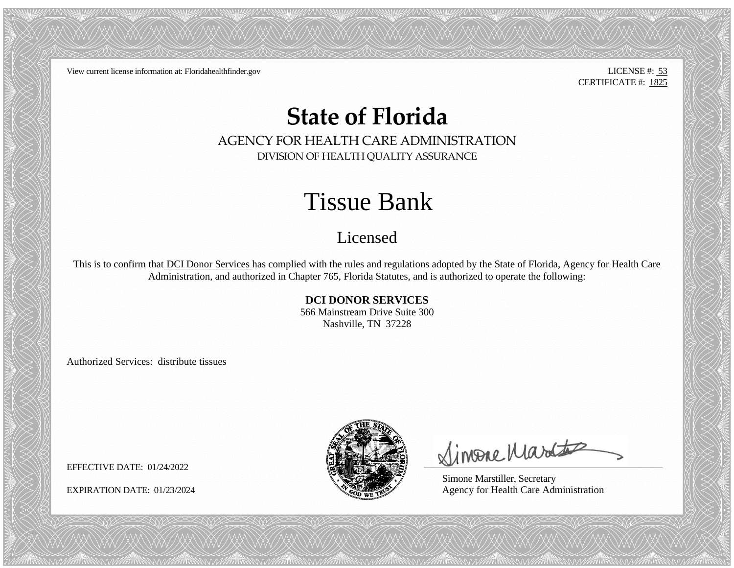View current license information at: Floridahealthfinder.gov LICENSE #: 53

CERTIFICATE #: 1825

## **State of Florida**

AGENCY FOR HEALTH CARE ADMINISTRATION DIVISION OF HEALTH QUALITY ASSURANCE

## Tissue Bank

## Licensed

This is to confirm that DCI Donor Services has complied with the rules and regulations adopted by the State of Florida, Agency for Health Care Administration, and authorized in Chapter 765, Florida Statutes, and is authorized to operate the following:

## **DCI DONOR SERVICES**

566 Mainstream Drive Suite 300 Nashville, TN 37228

Authorized Services: distribute tissues



Simone Martes

Simone Marstiller, Secretary EXPIRATION DATE: 01/23/2024  $\bullet$  Agency for Health Care Administration

EFFECTIVE DATE: 01/24/2022